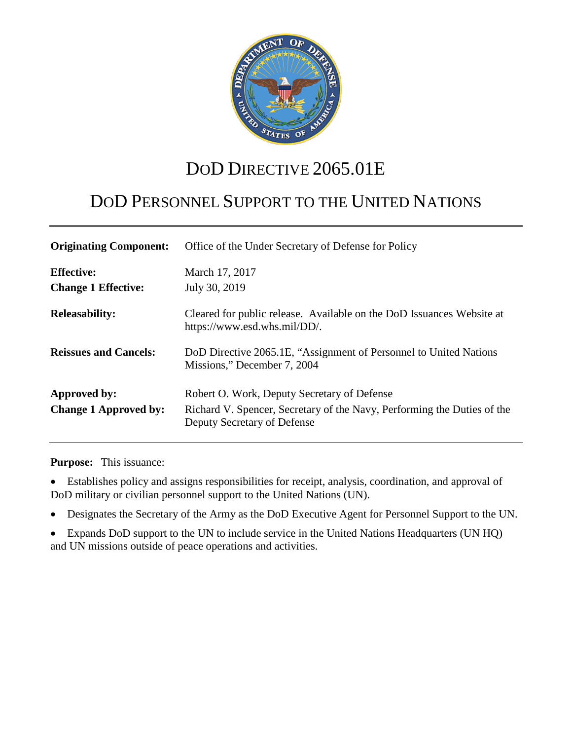

# DOD DIRECTIVE 2065.01E

# DOD PERSONNEL SUPPORT TO THE UNITED NATIONS

| <b>Originating Component:</b>                   | Office of the Under Secretary of Defense for Policy                                                                                                   |
|-------------------------------------------------|-------------------------------------------------------------------------------------------------------------------------------------------------------|
| <b>Effective:</b><br><b>Change 1 Effective:</b> | March 17, 2017<br>July 30, 2019                                                                                                                       |
| <b>Releasability:</b>                           | Cleared for public release. Available on the DoD Issuances Website at<br>https://www.esd.whs.mil/DD/.                                                 |
| <b>Reissues and Cancels:</b>                    | DoD Directive 2065.1E, "Assignment of Personnel to United Nations"<br>Missions," December 7, 2004                                                     |
| Approved by:<br><b>Change 1 Approved by:</b>    | Robert O. Work, Deputy Secretary of Defense<br>Richard V. Spencer, Secretary of the Navy, Performing the Duties of the<br>Deputy Secretary of Defense |

**Purpose:** This issuance:

• Establishes policy and assigns responsibilities for receipt, analysis, coordination, and approval of DoD military or civilian personnel support to the United Nations (UN).

• Designates the Secretary of the Army as the DoD Executive Agent for Personnel Support to the UN.

• Expands DoD support to the UN to include service in the United Nations Headquarters (UN HQ) and UN missions outside of peace operations and activities.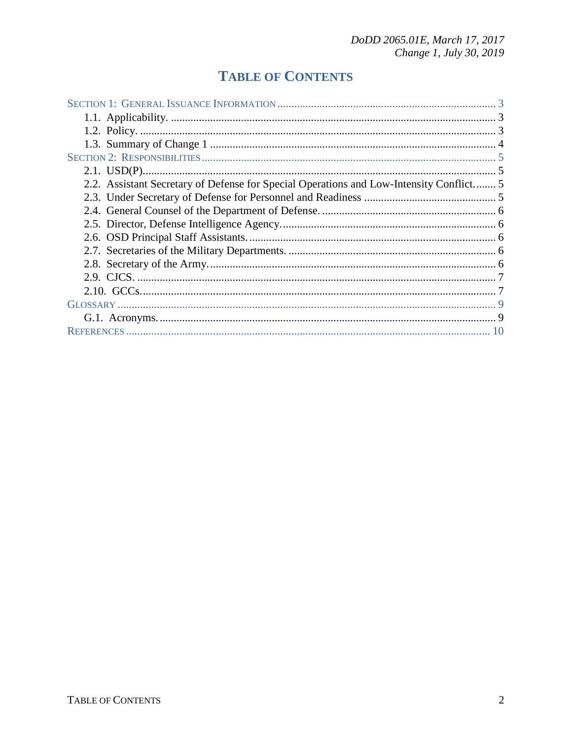# **TABLE OF CONTENTS**

| 2.2. Assistant Secretary of Defense for Special Operations and Low-Intensity Conflict 5 |  |  |
|-----------------------------------------------------------------------------------------|--|--|
|                                                                                         |  |  |
|                                                                                         |  |  |
|                                                                                         |  |  |
|                                                                                         |  |  |
|                                                                                         |  |  |
|                                                                                         |  |  |
|                                                                                         |  |  |
|                                                                                         |  |  |
|                                                                                         |  |  |
|                                                                                         |  |  |
|                                                                                         |  |  |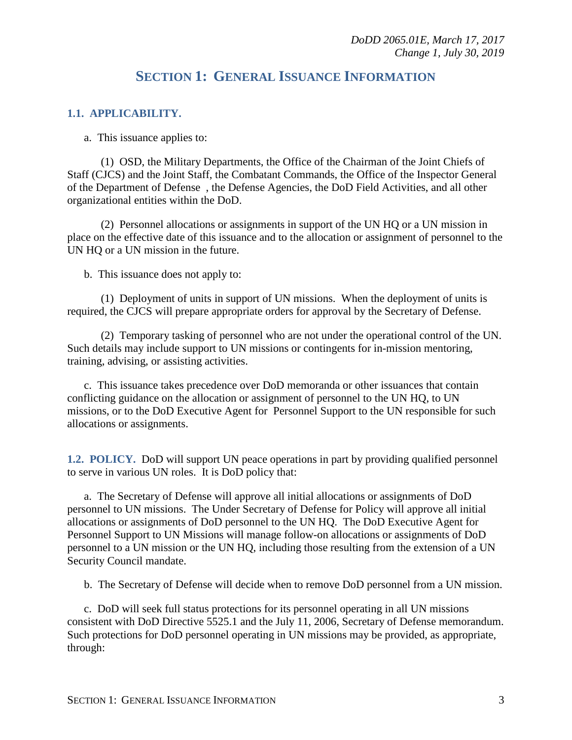## **SECTION 1: GENERAL ISSUANCE INFORMATION**

### <span id="page-2-1"></span><span id="page-2-0"></span>**1.1. APPLICABILITY.**

a. This issuance applies to:

(1) OSD, the Military Departments, the Office of the Chairman of the Joint Chiefs of Staff (CJCS) and the Joint Staff, the Combatant Commands, the Office of the Inspector General of the Department of Defense , the Defense Agencies, the DoD Field Activities, and all other organizational entities within the DoD.

(2) Personnel allocations or assignments in support of the UN HQ or a UN mission in place on the effective date of this issuance and to the allocation or assignment of personnel to the UN HQ or a UN mission in the future.

b. This issuance does not apply to:

(1) Deployment of units in support of UN missions. When the deployment of units is required, the CJCS will prepare appropriate orders for approval by the Secretary of Defense.

(2) Temporary tasking of personnel who are not under the operational control of the UN. Such details may include support to UN missions or contingents for in-mission mentoring, training, advising, or assisting activities.

c. This issuance takes precedence over DoD memoranda or other issuances that contain conflicting guidance on the allocation or assignment of personnel to the UN HQ, to UN missions, or to the DoD Executive Agent for Personnel Support to the UN responsible for such allocations or assignments.

<span id="page-2-2"></span>**1.2. POLICY.** DoD will support UN peace operations in part by providing qualified personnel to serve in various UN roles. It is DoD policy that:

a. The Secretary of Defense will approve all initial allocations or assignments of DoD personnel to UN missions. The Under Secretary of Defense for Policy will approve all initial allocations or assignments of DoD personnel to the UN HQ. The DoD Executive Agent for Personnel Support to UN Missions will manage follow-on allocations or assignments of DoD personnel to a UN mission or the UN HQ, including those resulting from the extension of a UN Security Council mandate.

b. The Secretary of Defense will decide when to remove DoD personnel from a UN mission.

c. DoD will seek full status protections for its personnel operating in all UN missions consistent with DoD Directive 5525.1 and the July 11, 2006, Secretary of Defense memorandum. Such protections for DoD personnel operating in UN missions may be provided, as appropriate, through: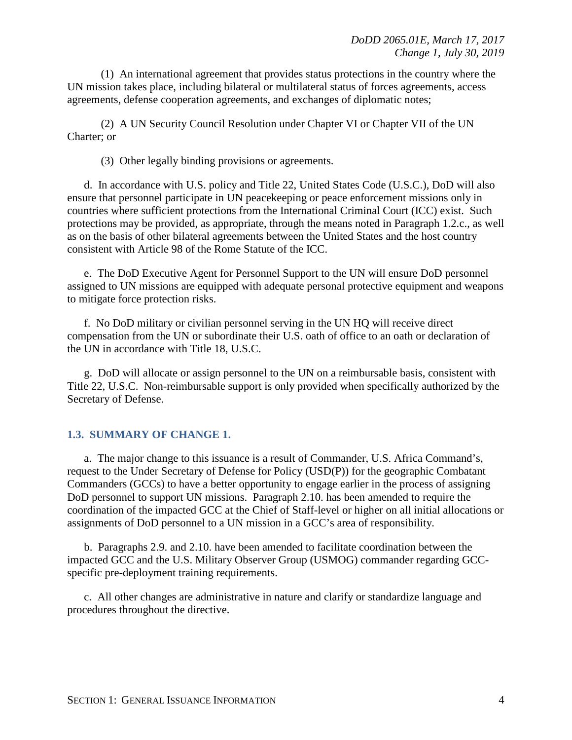(1) An international agreement that provides status protections in the country where the UN mission takes place, including bilateral or multilateral status of forces agreements, access agreements, defense cooperation agreements, and exchanges of diplomatic notes;

(2) A UN Security Council Resolution under Chapter VI or Chapter VII of the UN Charter; or

(3) Other legally binding provisions or agreements.

d. In accordance with U.S. policy and Title 22, United States Code (U.S.C.), DoD will also ensure that personnel participate in UN peacekeeping or peace enforcement missions only in countries where sufficient protections from the International Criminal Court (ICC) exist. Such protections may be provided, as appropriate, through the means noted in Paragraph 1.2.c., as well as on the basis of other bilateral agreements between the United States and the host country consistent with Article 98 of the Rome Statute of the ICC.

e. The DoD Executive Agent for Personnel Support to the UN will ensure DoD personnel assigned to UN missions are equipped with adequate personal protective equipment and weapons to mitigate force protection risks.

f. No DoD military or civilian personnel serving in the UN HQ will receive direct compensation from the UN or subordinate their U.S. oath of office to an oath or declaration of the UN in accordance with Title 18, U.S.C.

g. DoD will allocate or assign personnel to the UN on a reimbursable basis, consistent with Title 22, U.S.C. Non-reimbursable support is only provided when specifically authorized by the Secretary of Defense.

### <span id="page-3-0"></span>**1.3. SUMMARY OF CHANGE 1.**

a. The major change to this issuance is a result of Commander, U.S. Africa Command's, request to the Under Secretary of Defense for Policy (USD(P)) for the geographic Combatant Commanders (GCCs) to have a better opportunity to engage earlier in the process of assigning DoD personnel to support UN missions. Paragraph 2.10. has been amended to require the coordination of the impacted GCC at the Chief of Staff-level or higher on all initial allocations or assignments of DoD personnel to a UN mission in a GCC's area of responsibility.

b. Paragraphs 2.9. and 2.10. have been amended to facilitate coordination between the impacted GCC and the U.S. Military Observer Group (USMOG) commander regarding GCCspecific pre-deployment training requirements.

c. All other changes are administrative in nature and clarify or standardize language and procedures throughout the directive.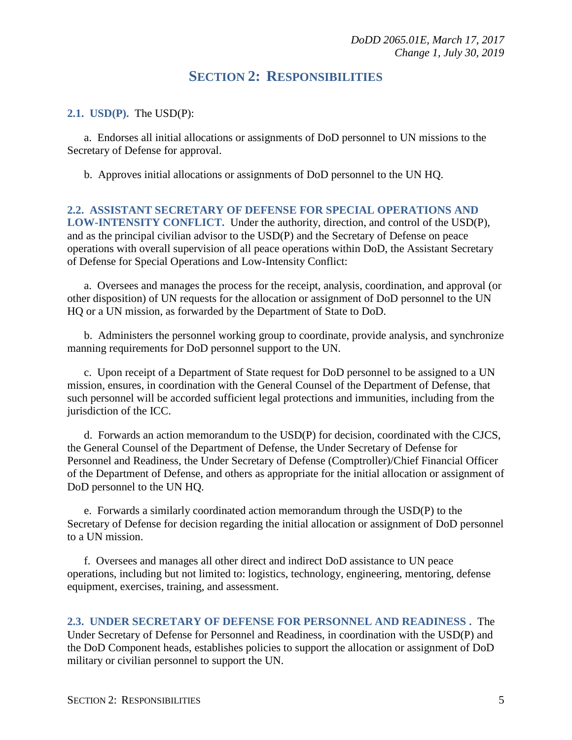## **SECTION 2: RESPONSIBILITIES**

#### <span id="page-4-1"></span><span id="page-4-0"></span>**2.1. USD(P).** The USD(P):

a. Endorses all initial allocations or assignments of DoD personnel to UN missions to the Secretary of Defense for approval.

b. Approves initial allocations or assignments of DoD personnel to the UN HQ.

#### <span id="page-4-2"></span>**2.2. ASSISTANT SECRETARY OF DEFENSE FOR SPECIAL OPERATIONS AND LOW-INTENSITY CONFLICT.** Under the authority, direction, and control of the USD(P), and as the principal civilian advisor to the USD(P) and the Secretary of Defense on peace operations with overall supervision of all peace operations within DoD, the Assistant Secretary of Defense for Special Operations and Low-Intensity Conflict:

a. Oversees and manages the process for the receipt, analysis, coordination, and approval (or other disposition) of UN requests for the allocation or assignment of DoD personnel to the UN HQ or a UN mission, as forwarded by the Department of State to DoD.

b. Administers the personnel working group to coordinate, provide analysis, and synchronize manning requirements for DoD personnel support to the UN.

c. Upon receipt of a Department of State request for DoD personnel to be assigned to a UN mission, ensures, in coordination with the General Counsel of the Department of Defense, that such personnel will be accorded sufficient legal protections and immunities, including from the jurisdiction of the ICC.

d. Forwards an action memorandum to the USD(P) for decision, coordinated with the CJCS, the General Counsel of the Department of Defense, the Under Secretary of Defense for Personnel and Readiness, the Under Secretary of Defense (Comptroller)/Chief Financial Officer of the Department of Defense, and others as appropriate for the initial allocation or assignment of DoD personnel to the UN HQ.

e. Forwards a similarly coordinated action memorandum through the USD(P) to the Secretary of Defense for decision regarding the initial allocation or assignment of DoD personnel to a UN mission.

f. Oversees and manages all other direct and indirect DoD assistance to UN peace operations, including but not limited to: logistics, technology, engineering, mentoring, defense equipment, exercises, training, and assessment.

<span id="page-4-3"></span>**2.3. UNDER SECRETARY OF DEFENSE FOR PERSONNEL AND READINESS .** The Under Secretary of Defense for Personnel and Readiness, in coordination with the USD(P) and the DoD Component heads, establishes policies to support the allocation or assignment of DoD military or civilian personnel to support the UN.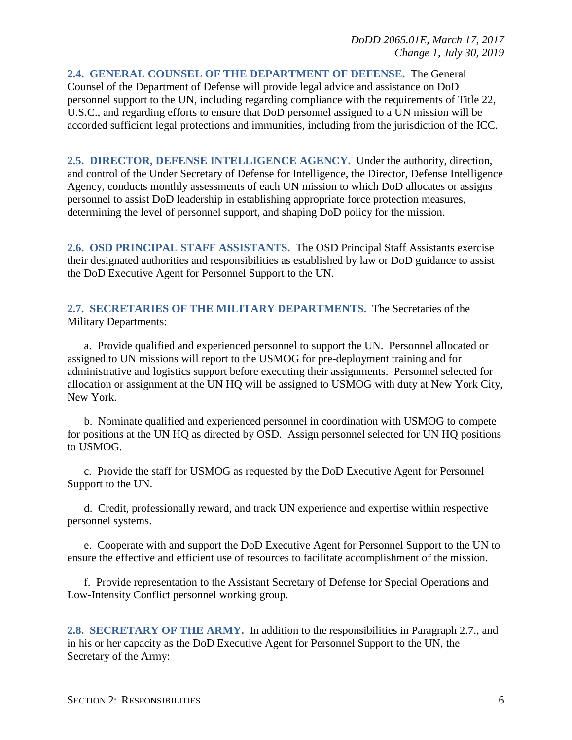<span id="page-5-0"></span>**2.4. GENERAL COUNSEL OF THE DEPARTMENT OF DEFENSE.** The General Counsel of the Department of Defense will provide legal advice and assistance on DoD personnel support to the UN, including regarding compliance with the requirements of Title 22, U.S.C., and regarding efforts to ensure that DoD personnel assigned to a UN mission will be accorded sufficient legal protections and immunities, including from the jurisdiction of the ICC.

<span id="page-5-1"></span>**2.5. DIRECTOR, DEFENSE INTELLIGENCE AGENCY.** Under the authority, direction, and control of the Under Secretary of Defense for Intelligence, the Director, Defense Intelligence Agency, conducts monthly assessments of each UN mission to which DoD allocates or assigns personnel to assist DoD leadership in establishing appropriate force protection measures, determining the level of personnel support, and shaping DoD policy for the mission.

<span id="page-5-2"></span>**2.6. OSD PRINCIPAL STAFF ASSISTANTS.** The OSD Principal Staff Assistants exercise their designated authorities and responsibilities as established by law or DoD guidance to assist the DoD Executive Agent for Personnel Support to the UN.

<span id="page-5-3"></span>**2.7. SECRETARIES OF THE MILITARY DEPARTMENTS.** The Secretaries of the Military Departments:

a. Provide qualified and experienced personnel to support the UN. Personnel allocated or assigned to UN missions will report to the USMOG for pre-deployment training and for administrative and logistics support before executing their assignments. Personnel selected for allocation or assignment at the UN HQ will be assigned to USMOG with duty at New York City, New York.

b. Nominate qualified and experienced personnel in coordination with USMOG to compete for positions at the UN HQ as directed by OSD. Assign personnel selected for UN HQ positions to USMOG.

c. Provide the staff for USMOG as requested by the DoD Executive Agent for Personnel Support to the UN.

d. Credit, professionally reward, and track UN experience and expertise within respective personnel systems.

e. Cooperate with and support the DoD Executive Agent for Personnel Support to the UN to ensure the effective and efficient use of resources to facilitate accomplishment of the mission.

f. Provide representation to the Assistant Secretary of Defense for Special Operations and Low-Intensity Conflict personnel working group.

<span id="page-5-4"></span>2.8. SECRETARY OF THE ARMY. In addition to the responsibilities in Paragraph 2.7., and in his or her capacity as the DoD Executive Agent for Personnel Support to the UN, the Secretary of the Army: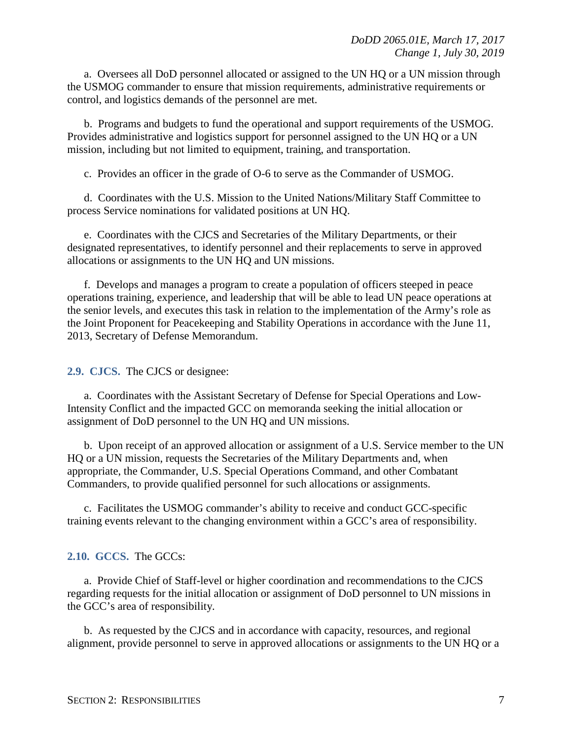a. Oversees all DoD personnel allocated or assigned to the UN HQ or a UN mission through the USMOG commander to ensure that mission requirements, administrative requirements or control, and logistics demands of the personnel are met.

b. Programs and budgets to fund the operational and support requirements of the USMOG. Provides administrative and logistics support for personnel assigned to the UN HQ or a UN mission, including but not limited to equipment, training, and transportation.

c. Provides an officer in the grade of O-6 to serve as the Commander of USMOG.

d. Coordinates with the U.S. Mission to the United Nations/Military Staff Committee to process Service nominations for validated positions at UN HQ.

e. Coordinates with the CJCS and Secretaries of the Military Departments, or their designated representatives, to identify personnel and their replacements to serve in approved allocations or assignments to the UN HQ and UN missions.

f. Develops and manages a program to create a population of officers steeped in peace operations training, experience, and leadership that will be able to lead UN peace operations at the senior levels, and executes this task in relation to the implementation of the Army's role as the Joint Proponent for Peacekeeping and Stability Operations in accordance with the June 11, 2013, Secretary of Defense Memorandum.

<span id="page-6-0"></span>**2.9. CJCS.** The CJCS or designee:

a. Coordinates with the Assistant Secretary of Defense for Special Operations and Low-Intensity Conflict and the impacted GCC on memoranda seeking the initial allocation or assignment of DoD personnel to the UN HQ and UN missions.

b. Upon receipt of an approved allocation or assignment of a U.S. Service member to the UN HQ or a UN mission, requests the Secretaries of the Military Departments and, when appropriate, the Commander, U.S. Special Operations Command, and other Combatant Commanders, to provide qualified personnel for such allocations or assignments.

c. Facilitates the USMOG commander's ability to receive and conduct GCC-specific training events relevant to the changing environment within a GCC's area of responsibility.

#### <span id="page-6-1"></span>**2.10. GCCS.** The GCCs:

a. Provide Chief of Staff-level or higher coordination and recommendations to the CJCS regarding requests for the initial allocation or assignment of DoD personnel to UN missions in the GCC's area of responsibility.

b. As requested by the CJCS and in accordance with capacity, resources, and regional alignment, provide personnel to serve in approved allocations or assignments to the UN HQ or a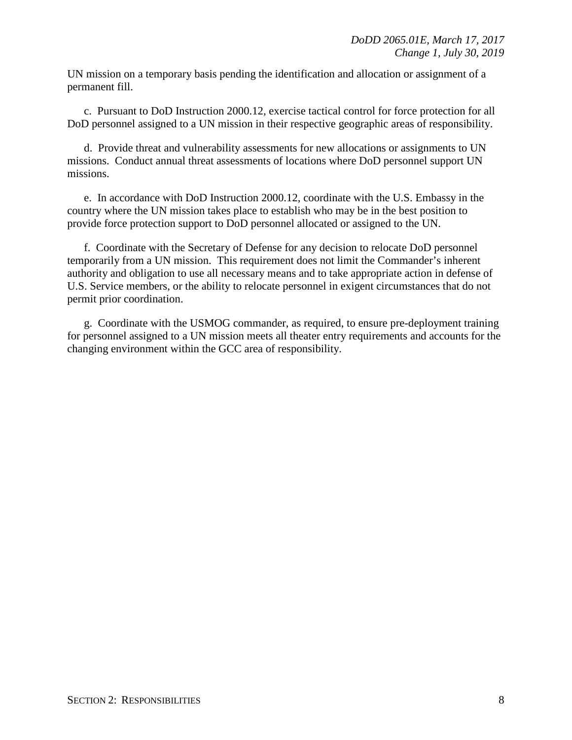UN mission on a temporary basis pending the identification and allocation or assignment of a permanent fill.

c. Pursuant to DoD Instruction 2000.12, exercise tactical control for force protection for all DoD personnel assigned to a UN mission in their respective geographic areas of responsibility.

d. Provide threat and vulnerability assessments for new allocations or assignments to UN missions. Conduct annual threat assessments of locations where DoD personnel support UN missions.

e. In accordance with DoD Instruction 2000.12, coordinate with the U.S. Embassy in the country where the UN mission takes place to establish who may be in the best position to provide force protection support to DoD personnel allocated or assigned to the UN.

f. Coordinate with the Secretary of Defense for any decision to relocate DoD personnel temporarily from a UN mission. This requirement does not limit the Commander's inherent authority and obligation to use all necessary means and to take appropriate action in defense of U.S. Service members, or the ability to relocate personnel in exigent circumstances that do not permit prior coordination.

g. Coordinate with the USMOG commander, as required, to ensure pre-deployment training for personnel assigned to a UN mission meets all theater entry requirements and accounts for the changing environment within the GCC area of responsibility.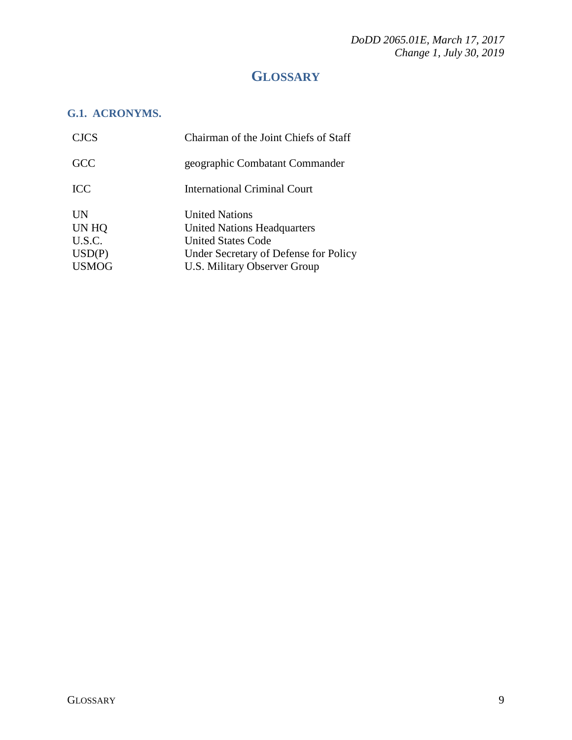*DoDD 2065.01E, March 17, 2017 Change 1, July 30, 2019* 

# **GLOSSARY**

## <span id="page-8-1"></span><span id="page-8-0"></span>**G.1. ACRONYMS.**

| <b>CJCS</b>  | Chairman of the Joint Chiefs of Staff |
|--------------|---------------------------------------|
| <b>GCC</b>   | geographic Combatant Commander        |
| <b>ICC</b>   | International Criminal Court          |
| <b>UN</b>    | <b>United Nations</b>                 |
| UN HQ        | United Nations Headquarters           |
| U.S.C.       | <b>United States Code</b>             |
| USD(P)       | Under Secretary of Defense for Policy |
| <b>USMOG</b> | <b>U.S. Military Observer Group</b>   |
|              |                                       |